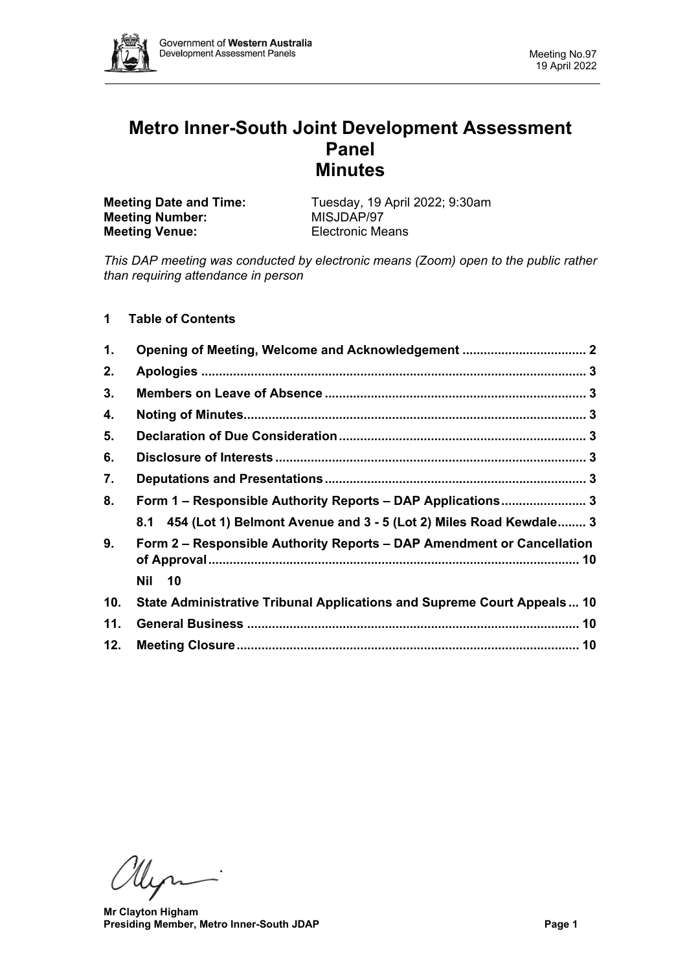

# **Metro Inner-South Joint Development Assessment Panel Minutes**

| <b>Meeting Date and Time:</b> | Tuesday, 19 April 2022; 9:30am |
|-------------------------------|--------------------------------|
| <b>Meeting Number:</b>        | MISJDAP/97                     |
| <b>Meeting Venue:</b>         | <b>Electronic Means</b>        |

*This DAP meeting was conducted by electronic means (Zoom) open to the public rather than requiring attendance in person*

# **1 Table of Contents**

| 1.  |                                                                         |
|-----|-------------------------------------------------------------------------|
| 2.  |                                                                         |
| 3.  |                                                                         |
| 4.  |                                                                         |
| 5.  |                                                                         |
| 6.  |                                                                         |
| 7.  |                                                                         |
| 8.  | Form 1 - Responsible Authority Reports - DAP Applications 3             |
|     | 8.1 454 (Lot 1) Belmont Avenue and 3 - 5 (Lot 2) Miles Road Kewdale 3   |
| 9.  | Form 2 – Responsible Authority Reports – DAP Amendment or Cancellation  |
|     | Nil 10                                                                  |
| 10. | State Administrative Tribunal Applications and Supreme Court Appeals 10 |
| 11. |                                                                         |
| 12. |                                                                         |

Myni

**Mr Clayton Higham Presiding Member, Metro Inner-South JDAP Page 1**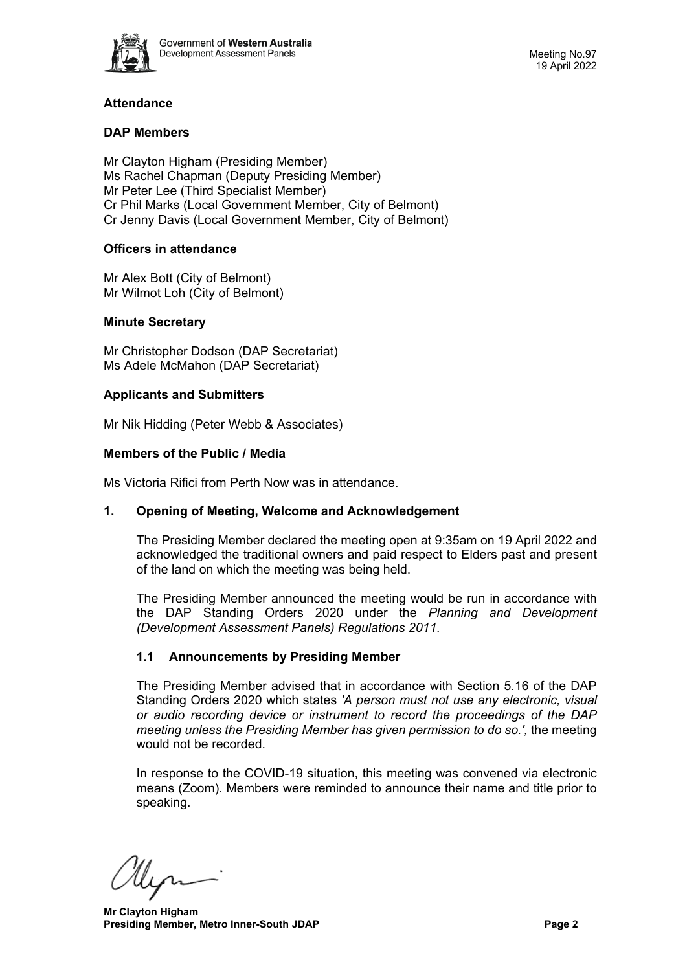

# **Attendance**

# **DAP Members**

Mr Clayton Higham (Presiding Member) Ms Rachel Chapman (Deputy Presiding Member) Mr Peter Lee (Third Specialist Member) Cr Phil Marks (Local Government Member, City of Belmont) Cr Jenny Davis (Local Government Member, City of Belmont)

# **Officers in attendance**

Mr Alex Bott (City of Belmont) Mr Wilmot Loh (City of Belmont)

# **Minute Secretary**

Mr Christopher Dodson (DAP Secretariat) Ms Adele McMahon (DAP Secretariat)

#### **Applicants and Submitters**

Mr Nik Hidding (Peter Webb & Associates)

#### **Members of the Public / Media**

<span id="page-1-0"></span>Ms Victoria Rifici from Perth Now was in attendance.

#### **1. Opening of Meeting, Welcome and Acknowledgement**

The Presiding Member declared the meeting open at 9:35am on 19 April 2022 and acknowledged the traditional owners and paid respect to Elders past and present of the land on which the meeting was being held.

The Presiding Member announced the meeting would be run in accordance with the DAP Standing Orders 2020 under the *Planning and Development (Development Assessment Panels) Regulations 2011.*

#### **1.1 Announcements by Presiding Member**

The Presiding Member advised that in accordance with Section 5.16 of the DAP Standing Orders 2020 which states *'A person must not use any electronic, visual or audio recording device or instrument to record the proceedings of the DAP meeting unless the Presiding Member has given permission to do so.',* the meeting would not be recorded.

In response to the COVID-19 situation, this meeting was convened via electronic means (Zoom). Members were reminded to announce their name and title prior to speaking.

llin

**Mr Clayton Higham Presiding Member, Metro Inner-South JDAP Page 2**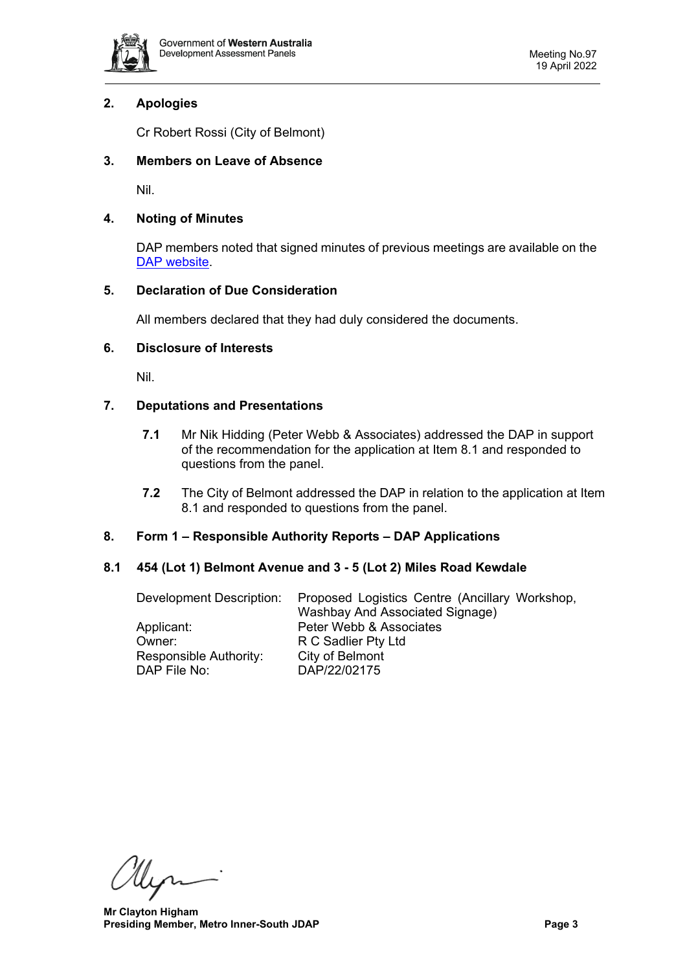

# <span id="page-2-0"></span>**2. Apologies**

Cr Robert Rossi (City of Belmont)

# <span id="page-2-1"></span>**3. Members on Leave of Absence**

Nil.

# <span id="page-2-2"></span>**4. Noting of Minutes**

DAP members noted that signed minutes of previous meetings are available on the [DAP website.](https://www.dplh.wa.gov.au/about/development-assessment-panels/daps-agendas-and-minutes)

# <span id="page-2-3"></span>**5. Declaration of Due Consideration**

All members declared that they had duly considered the documents.

# <span id="page-2-4"></span>**6. Disclosure of Interests**

Nil.

# <span id="page-2-5"></span>**7. Deputations and Presentations**

- **7.1** Mr Nik Hidding (Peter Webb & Associates) addressed the DAP in support of the recommendation for the application at Item 8.1 and responded to questions from the panel.
- **7.2** The City of Belmont addressed the DAP in relation to the application at Item 8.1 and responded to questions from the panel.

# <span id="page-2-6"></span>**8. Form 1 – Responsible Authority Reports – DAP Applications**

# <span id="page-2-7"></span>**8.1 454 (Lot 1) Belmont Avenue and 3 - 5 (Lot 2) Miles Road Kewdale**

| Development Description: | Proposed Logistics Centre (Ancillary Workshop, |
|--------------------------|------------------------------------------------|
|                          | <b>Washbay And Associated Signage)</b>         |
| Applicant:               | Peter Webb & Associates                        |
| Owner:                   | R C Sadlier Pty Ltd                            |
| Responsible Authority:   | City of Belmont                                |
| DAP File No:             | DAP/22/02175                                   |

Myri

**Mr Clayton Higham Presiding Member, Metro Inner-South JDAP Page 3**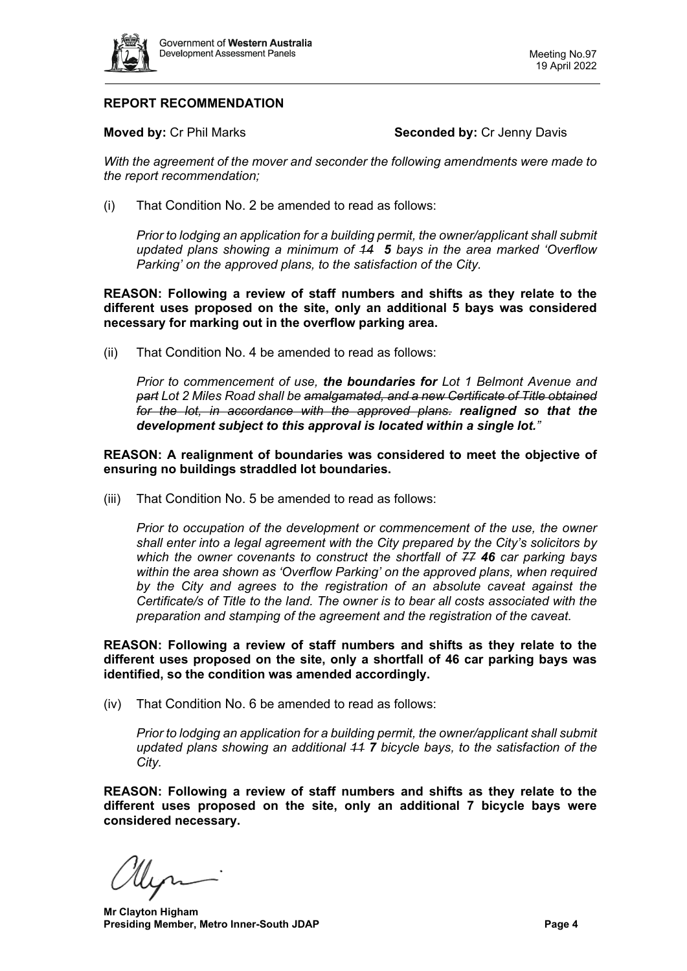

# **REPORT RECOMMENDATION**

**Moved by: Cr Phil Marks <b>Seconded by: Cr Jenny Davis Seconded by: Cr Jenny Davis** 

*With the agreement of the mover and seconder the following amendments were made to the report recommendation;*

(i) That Condition No. 2 be amended to read as follows:

*Prior to lodging an application for a building permit, the owner/applicant shall submit updated plans showing a minimum of 14 5 bays in the area marked 'Overflow Parking' on the approved plans, to the satisfaction of the City.*

**REASON: Following a review of staff numbers and shifts as they relate to the different uses proposed on the site, only an additional 5 bays was considered necessary for marking out in the overflow parking area.**

(ii) That Condition No. 4 be amended to read as follows:

*Prior to commencement of use, the boundaries for Lot 1 Belmont Avenue and part Lot 2 Miles Road shall be amalgamated, and a new Certificate of Title obtained for the lot, in accordance with the approved plans. realigned so that the development subject to this approval is located within a single lot."*

**REASON: A realignment of boundaries was considered to meet the objective of ensuring no buildings straddled lot boundaries.**

(iii) That Condition No. 5 be amended to read as follows:

*Prior to occupation of the development or commencement of the use, the owner shall enter into a legal agreement with the City prepared by the City's solicitors by which the owner covenants to construct the shortfall of 77 46 car parking bays within the area shown as 'Overflow Parking' on the approved plans, when required by the City and agrees to the registration of an absolute caveat against the Certificate/s of Title to the land. The owner is to bear all costs associated with the preparation and stamping of the agreement and the registration of the caveat.*

**REASON: Following a review of staff numbers and shifts as they relate to the different uses proposed on the site, only a shortfall of 46 car parking bays was identified, so the condition was amended accordingly.**

(iv) That Condition No. 6 be amended to read as follows:

*Prior to lodging an application for a building permit, the owner/applicant shall submit updated plans showing an additional 11 7 bicycle bays, to the satisfaction of the City.*

**REASON: Following a review of staff numbers and shifts as they relate to the different uses proposed on the site, only an additional 7 bicycle bays were considered necessary.**

**Mr Clayton Higham Presiding Member, Metro Inner-South JDAP Page 4 Page 4**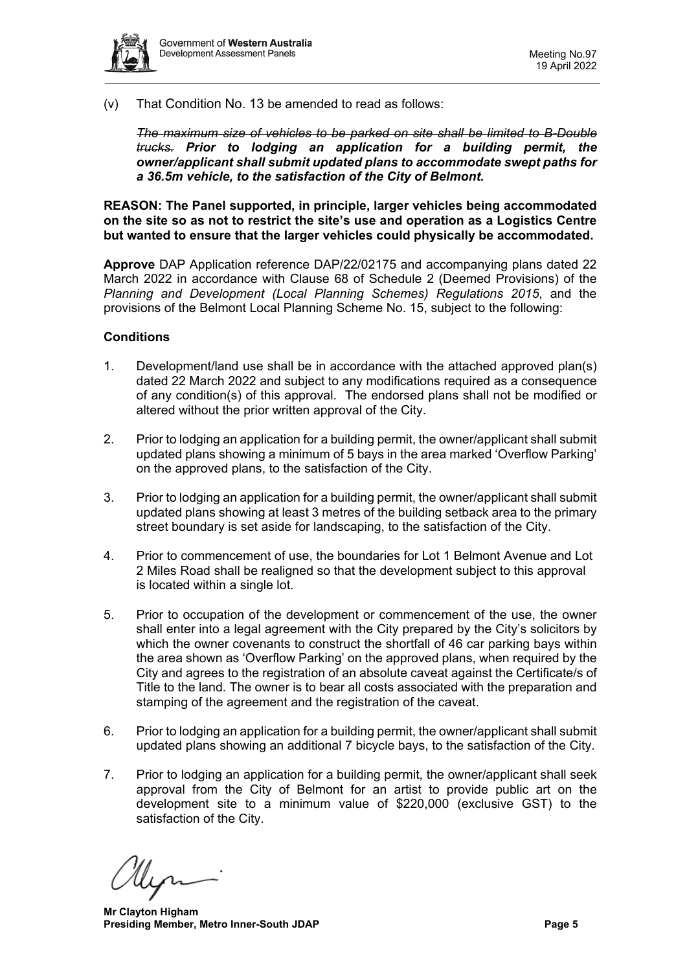

(v) That Condition No. 13 be amended to read as follows:

*The maximum size of vehicles to be parked on site shall be limited to B-Double trucks. Prior to lodging an application for a building permit, the owner/applicant shall submit updated plans to accommodate swept paths for a 36.5m vehicle, to the satisfaction of the City of Belmont.*

**REASON: The Panel supported, in principle, larger vehicles being accommodated on the site so as not to restrict the site's use and operation as a Logistics Centre but wanted to ensure that the larger vehicles could physically be accommodated.** 

**Approve** DAP Application reference DAP/22/02175 and accompanying plans dated 22 March 2022 in accordance with Clause 68 of Schedule 2 (Deemed Provisions) of the *Planning and Development (Local Planning Schemes) Regulations 2015*, and the provisions of the Belmont Local Planning Scheme No. 15, subject to the following:

#### **Conditions**

- 1. Development/land use shall be in accordance with the attached approved plan(s) dated 22 March 2022 and subject to any modifications required as a consequence of any condition(s) of this approval. The endorsed plans shall not be modified or altered without the prior written approval of the City.
- 2. Prior to lodging an application for a building permit, the owner/applicant shall submit updated plans showing a minimum of 5 bays in the area marked 'Overflow Parking' on the approved plans, to the satisfaction of the City.
- 3. Prior to lodging an application for a building permit, the owner/applicant shall submit updated plans showing at least 3 metres of the building setback area to the primary street boundary is set aside for landscaping, to the satisfaction of the City.
- 4. Prior to commencement of use, the boundaries for Lot 1 Belmont Avenue and Lot 2 Miles Road shall be realigned so that the development subject to this approval is located within a single lot.
- 5. Prior to occupation of the development or commencement of the use, the owner shall enter into a legal agreement with the City prepared by the City's solicitors by which the owner covenants to construct the shortfall of 46 car parking bays within the area shown as 'Overflow Parking' on the approved plans, when required by the City and agrees to the registration of an absolute caveat against the Certificate/s of Title to the land. The owner is to bear all costs associated with the preparation and stamping of the agreement and the registration of the caveat.
- 6. Prior to lodging an application for a building permit, the owner/applicant shall submit updated plans showing an additional 7 bicycle bays, to the satisfaction of the City.
- 7. Prior to lodging an application for a building permit, the owner/applicant shall seek approval from the City of Belmont for an artist to provide public art on the development site to a minimum value of \$220,000 (exclusive GST) to the satisfaction of the City.

**Mr Clayton Higham Presiding Member, Metro Inner-South JDAP Page 5 Page 5**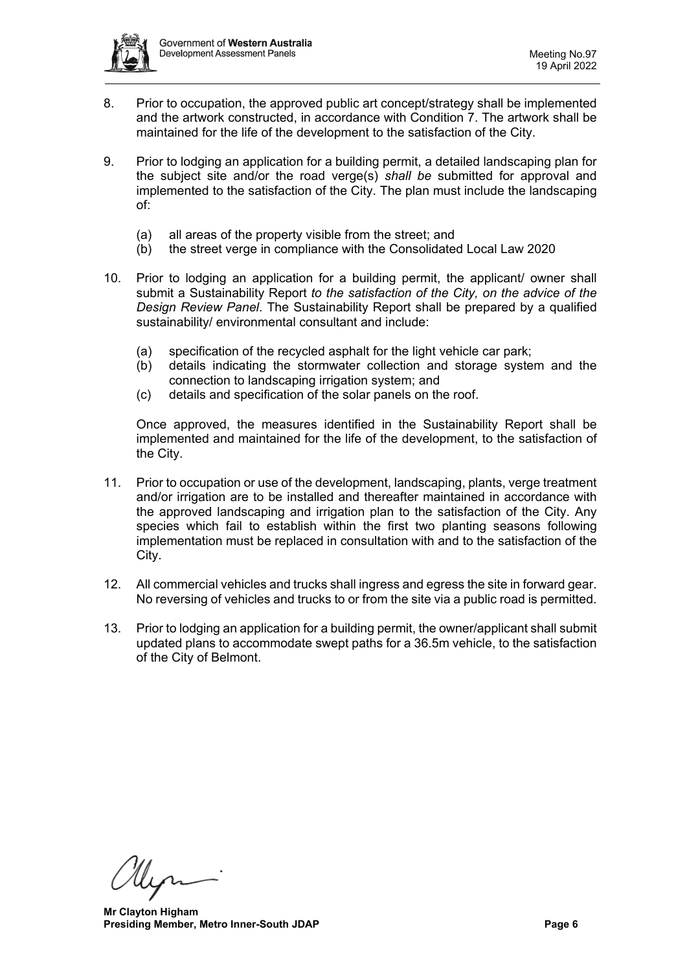

- 8. Prior to occupation, the approved public art concept/strategy shall be implemented and the artwork constructed, in accordance with Condition 7. The artwork shall be maintained for the life of the development to the satisfaction of the City.
- 9. Prior to lodging an application for a building permit, a detailed landscaping plan for the subject site and/or the road verge(s) *shall be* submitted for approval and implemented to the satisfaction of the City. The plan must include the landscaping of:
	- (a) all areas of the property visible from the street; and
	- (b) the street verge in compliance with the Consolidated Local Law 2020
- 10. Prior to lodging an application for a building permit, the applicant/ owner shall submit a Sustainability Report *to the satisfaction of the City, on the advice of the Design Review Panel*. The Sustainability Report shall be prepared by a qualified sustainability/ environmental consultant and include:
	- (a) specification of the recycled asphalt for the light vehicle car park;
	- (b) details indicating the stormwater collection and storage system and the connection to landscaping irrigation system; and
	- (c) details and specification of the solar panels on the roof.

Once approved, the measures identified in the Sustainability Report shall be implemented and maintained for the life of the development, to the satisfaction of the City.

- 11. Prior to occupation or use of the development, landscaping, plants, verge treatment and/or irrigation are to be installed and thereafter maintained in accordance with the approved landscaping and irrigation plan to the satisfaction of the City. Any species which fail to establish within the first two planting seasons following implementation must be replaced in consultation with and to the satisfaction of the City.
- 12. All commercial vehicles and trucks shall ingress and egress the site in forward gear. No reversing of vehicles and trucks to or from the site via a public road is permitted.
- 13. Prior to lodging an application for a building permit, the owner/applicant shall submit updated plans to accommodate swept paths for a 36.5m vehicle, to the satisfaction of the City of Belmont.

Myr

**Mr Clayton Higham Presiding Member, Metro Inner-South JDAP Page 6 Page 6**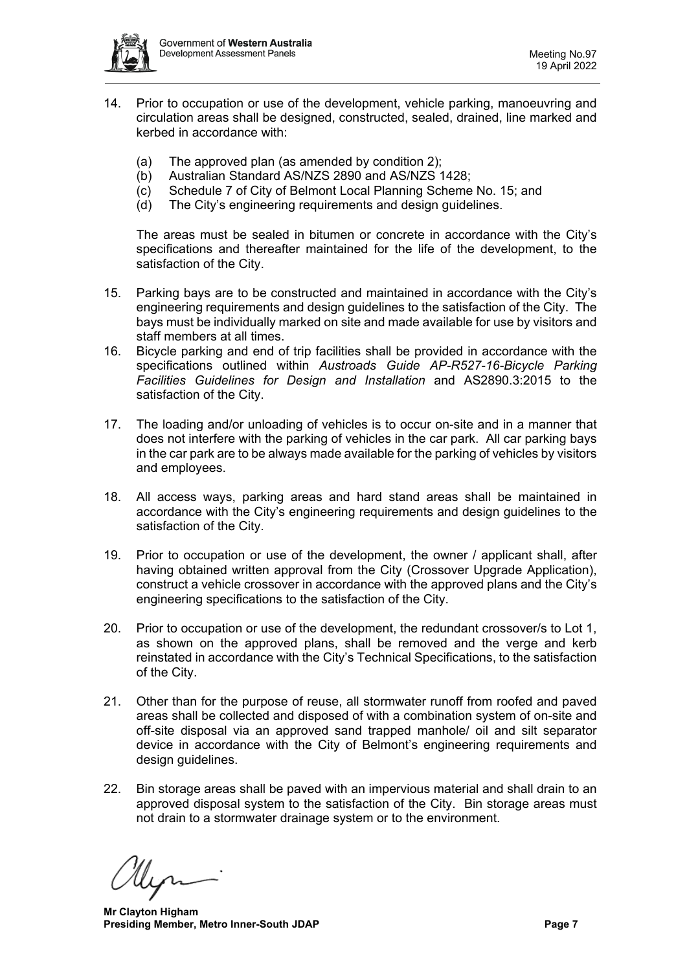

- 14. Prior to occupation or use of the development, vehicle parking, manoeuvring and circulation areas shall be designed, constructed, sealed, drained, line marked and kerbed in accordance with:
	- (a) The approved plan (as amended by condition 2);
	- (b) Australian Standard AS/NZS 2890 and AS/NZS 1428;
	- (c) Schedule 7 of City of Belmont Local Planning Scheme No. 15; and
	- (d) The City's engineering requirements and design guidelines.

The areas must be sealed in bitumen or concrete in accordance with the City's specifications and thereafter maintained for the life of the development, to the satisfaction of the City.

- 15. Parking bays are to be constructed and maintained in accordance with the City's engineering requirements and design guidelines to the satisfaction of the City. The bays must be individually marked on site and made available for use by visitors and staff members at all times.
- 16. Bicycle parking and end of trip facilities shall be provided in accordance with the specifications outlined within *Austroads Guide AP-R527-16-Bicycle Parking Facilities Guidelines for Design and Installation* and AS2890.3:2015 to the satisfaction of the City.
- 17. The loading and/or unloading of vehicles is to occur on-site and in a manner that does not interfere with the parking of vehicles in the car park. All car parking bays in the car park are to be always made available for the parking of vehicles by visitors and employees.
- 18. All access ways, parking areas and hard stand areas shall be maintained in accordance with the City's engineering requirements and design guidelines to the satisfaction of the City.
- 19. Prior to occupation or use of the development, the owner / applicant shall, after having obtained written approval from the City (Crossover Upgrade Application), construct a vehicle crossover in accordance with the approved plans and the City's engineering specifications to the satisfaction of the City.
- 20. Prior to occupation or use of the development, the redundant crossover/s to Lot 1, as shown on the approved plans, shall be removed and the verge and kerb reinstated in accordance with the City's Technical Specifications, to the satisfaction of the City.
- 21. Other than for the purpose of reuse, all stormwater runoff from roofed and paved areas shall be collected and disposed of with a combination system of on-site and off-site disposal via an approved sand trapped manhole/ oil and silt separator device in accordance with the City of Belmont's engineering requirements and design guidelines.
- 22. Bin storage areas shall be paved with an impervious material and shall drain to an approved disposal system to the satisfaction of the City. Bin storage areas must not drain to a stormwater drainage system or to the environment.

**Mr Clayton Higham Presiding Member, Metro Inner-South JDAP Page 7 Page 7**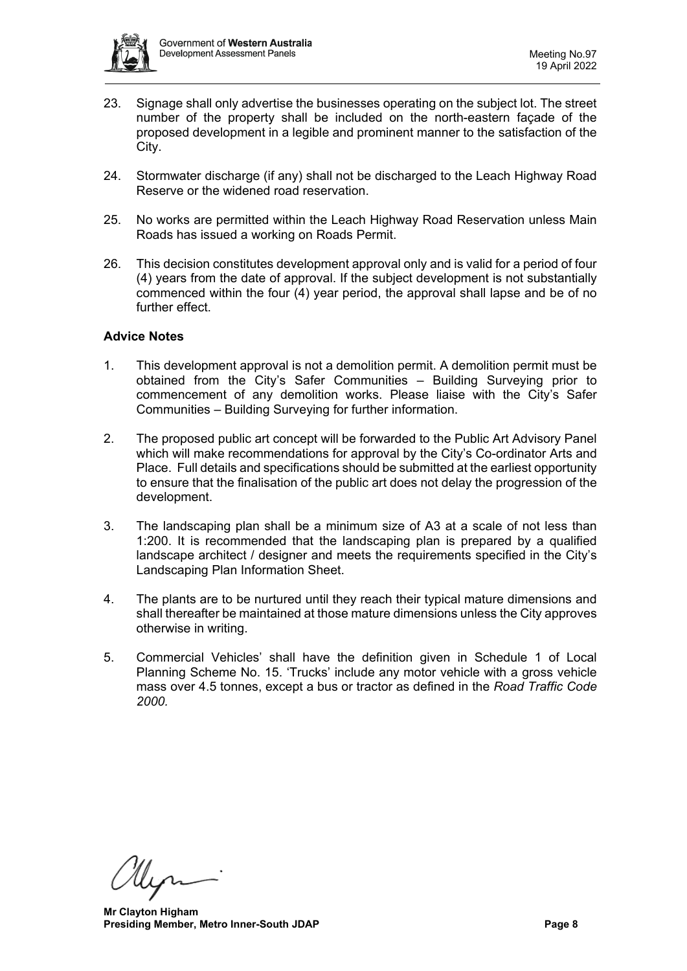

- 23. Signage shall only advertise the businesses operating on the subject lot. The street number of the property shall be included on the north-eastern façade of the proposed development in a legible and prominent manner to the satisfaction of the City.
- 24. Stormwater discharge (if any) shall not be discharged to the Leach Highway Road Reserve or the widened road reservation.
- 25. No works are permitted within the Leach Highway Road Reservation unless Main Roads has issued a working on Roads Permit.
- 26. This decision constitutes development approval only and is valid for a period of four (4) years from the date of approval. If the subject development is not substantially commenced within the four (4) year period, the approval shall lapse and be of no further effect.

#### **Advice Notes**

- 1. This development approval is not a demolition permit. A demolition permit must be obtained from the City's Safer Communities – Building Surveying prior to commencement of any demolition works. Please liaise with the City's Safer Communities – Building Surveying for further information.
- 2. The proposed public art concept will be forwarded to the Public Art Advisory Panel which will make recommendations for approval by the City's Co-ordinator Arts and Place. Full details and specifications should be submitted at the earliest opportunity to ensure that the finalisation of the public art does not delay the progression of the development.
- 3. The landscaping plan shall be a minimum size of A3 at a scale of not less than 1:200. It is recommended that the landscaping plan is prepared by a qualified landscape architect / designer and meets the requirements specified in the City's Landscaping Plan Information Sheet.
- 4. The plants are to be nurtured until they reach their typical mature dimensions and shall thereafter be maintained at those mature dimensions unless the City approves otherwise in writing.
- 5. Commercial Vehicles' shall have the definition given in Schedule 1 of Local Planning Scheme No. 15. 'Trucks' include any motor vehicle with a gross vehicle mass over 4.5 tonnes, except a bus or tractor as defined in the *Road Traffic Code 2000.*

**Mr Clayton Higham Presiding Member, Metro Inner-South JDAP Page 8**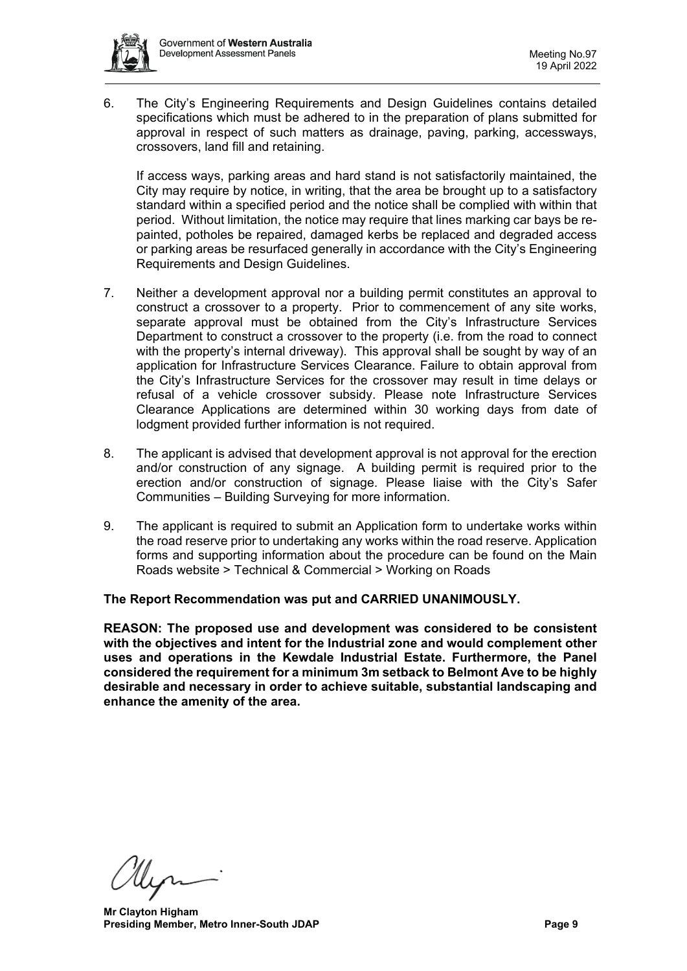

6. The City's Engineering Requirements and Design Guidelines contains detailed specifications which must be adhered to in the preparation of plans submitted for approval in respect of such matters as drainage, paving, parking, accessways, crossovers, land fill and retaining.

If access ways, parking areas and hard stand is not satisfactorily maintained, the City may require by notice, in writing, that the area be brought up to a satisfactory standard within a specified period and the notice shall be complied with within that period. Without limitation, the notice may require that lines marking car bays be repainted, potholes be repaired, damaged kerbs be replaced and degraded access or parking areas be resurfaced generally in accordance with the City's Engineering Requirements and Design Guidelines.

- 7. Neither a development approval nor a building permit constitutes an approval to construct a crossover to a property. Prior to commencement of any site works, separate approval must be obtained from the City's Infrastructure Services Department to construct a crossover to the property (i.e. from the road to connect with the property's internal driveway). This approval shall be sought by way of an application for Infrastructure Services Clearance. Failure to obtain approval from the City's Infrastructure Services for the crossover may result in time delays or refusal of a vehicle crossover subsidy. Please note Infrastructure Services Clearance Applications are determined within 30 working days from date of lodgment provided further information is not required.
- 8. The applicant is advised that development approval is not approval for the erection and/or construction of any signage. A building permit is required prior to the erection and/or construction of signage. Please liaise with the City's Safer Communities – Building Surveying for more information.
- 9. The applicant is required to submit an Application form to undertake works within the road reserve prior to undertaking any works within the road reserve. Application forms and supporting information about the procedure can be found on the Main Roads website > Technical & Commercial > Working on Roads

# **The Report Recommendation was put and CARRIED UNANIMOUSLY.**

**REASON: The proposed use and development was considered to be consistent with the objectives and intent for the Industrial zone and would complement other uses and operations in the Kewdale Industrial Estate. Furthermore, the Panel considered the requirement for a minimum 3m setback to Belmont Ave to be highly desirable and necessary in order to achieve suitable, substantial landscaping and enhance the amenity of the area.** 

**Mr Clayton Higham Presiding Member, Metro Inner-South JDAP Page 9 Page 9**